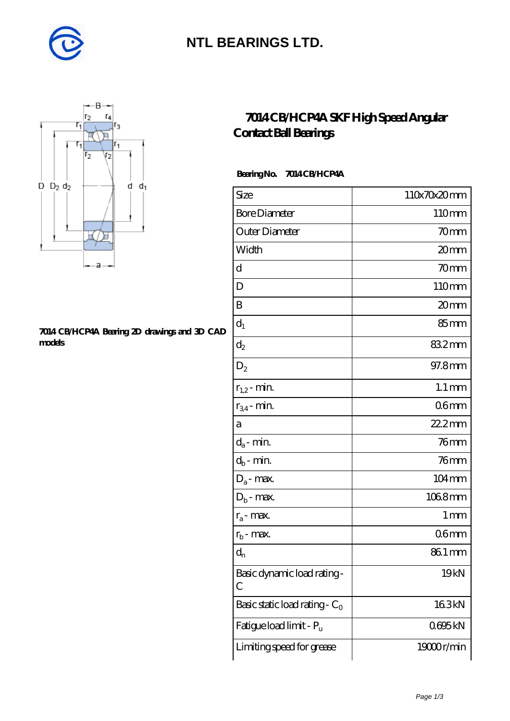

### **[NTL BEARINGS LTD.](https://m.diabetesfriends.net)**



#### **[7014 CB/HCP4A Bearing 2D drawings and 3D CAD](https://m.diabetesfriends.net/pic-590821.html) [models](https://m.diabetesfriends.net/pic-590821.html)**

### **[7014 CB/HCP4A SKF High Speed Angular](https://m.diabetesfriends.net/skf-bearing/7014-cb-hcp4a.html) [Contact Ball Bearings](https://m.diabetesfriends.net/skf-bearing/7014-cb-hcp4a.html)**

### **Bearing No. 7014 CB/HCP4A**

| Size                             | 110x70x20mm         |
|----------------------------------|---------------------|
| <b>Bore Diameter</b>             | 110mm               |
| Outer Diameter                   | 70mm                |
| Width                            | 20mm                |
| d                                | 70mm                |
| D                                | 110mm               |
| B                                | 20mm                |
| $d_1$                            | 85 <sub>mm</sub>    |
| $\mathrm{d}_2$                   | 832mm               |
| $D_2$                            | 97.8mm              |
| $r_{1,2}$ - min.                 | $1.1 \,\mathrm{mm}$ |
| $r_{34}$ - min.                  | 06 <sub>mm</sub>    |
| а                                | 22.2mm              |
| $d_a$ - min.                     | $76$ mm             |
| $d_b$ - min.                     | $76$ mm             |
| $D_a$ - max.                     | 104mm               |
| $D_b$ - max.                     | 1068mm              |
| $r_a$ - max.                     | $1 \,\mathrm{mm}$   |
| $r_{b}$ - max.                   | 06 <sub>mm</sub>    |
| $d_{n}$                          | 861 mm              |
| Basic dynamic load rating-<br>С  | 19 <sub>kN</sub>    |
| Basic static load rating - $C_0$ | 163kN               |
| Fatigue load limit - Pu          | 0695kN              |
| Limiting speed for grease        | 19000r/min          |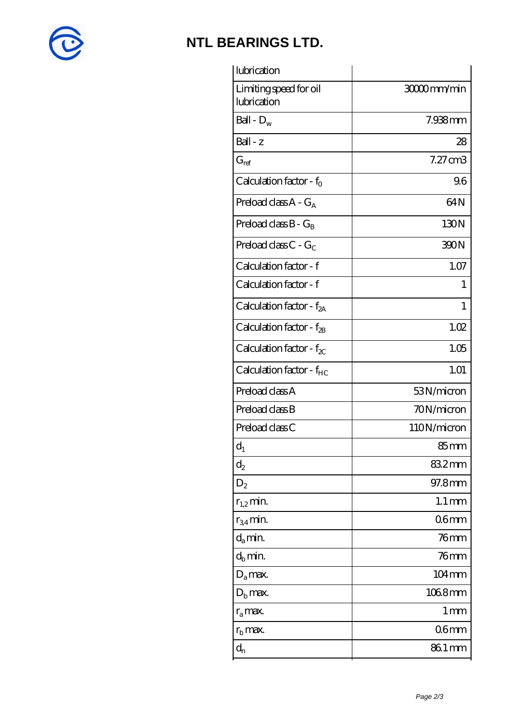

# **[NTL BEARINGS LTD.](https://m.diabetesfriends.net)**

| lubrication                           |                     |
|---------------------------------------|---------------------|
| Limiting speed for oil<br>lubrication | 3000mm/min          |
| Ball - $D_w$                          | 7.938mm             |
| Ball - z                              | 28                  |
| $G_{ref}$                             | $7.27$ cm $3$       |
| Calculation factor - $f_0$            | 96                  |
| Preload class $A - G_A$               | 64N                 |
| Preload class $B - G_B$               | 130N                |
| Preload class C - $G_C$               | 390N                |
| Calculation factor - f                | 1.07                |
| Calculation factor - f                | 1                   |
| Calculation factor - $f_{2A}$         | 1                   |
| Calculation factor - $f_{\rm 2B}$     | 1.02                |
| Calculation factor - $f_{\chi}$       | 1.05                |
| Calculation factor - $f_{HC}$         | 1.01                |
| Preload class A                       | 53N/micron          |
| Preload class B                       | 70N/micron          |
| Preload class C                       | 110N/micron         |
| $d_1$                                 | 85 mm               |
| $\mathrm{d}_2$                        | 832mm               |
| $D_2$                                 | 97.8mm              |
| $r_{1,2}$ min.                        | $1.1 \,\mathrm{mm}$ |
| $r_{34}$ min.                         | 06 <sub>mm</sub>    |
| $d_a$ min.                            | $76$ mm             |
| $d_h$ min.                            | $76$ mm             |
| $D_a$ max.                            | 104mm               |
| $D_{b}$ max.                          | 1068mm              |
| $r_a$ max.                            | 1 <sub>mm</sub>     |
| $r_{\rm b}$ max.                      | 06 <sub>mm</sub>    |
| $d_{n}$                               | 86.1 mm             |
|                                       |                     |